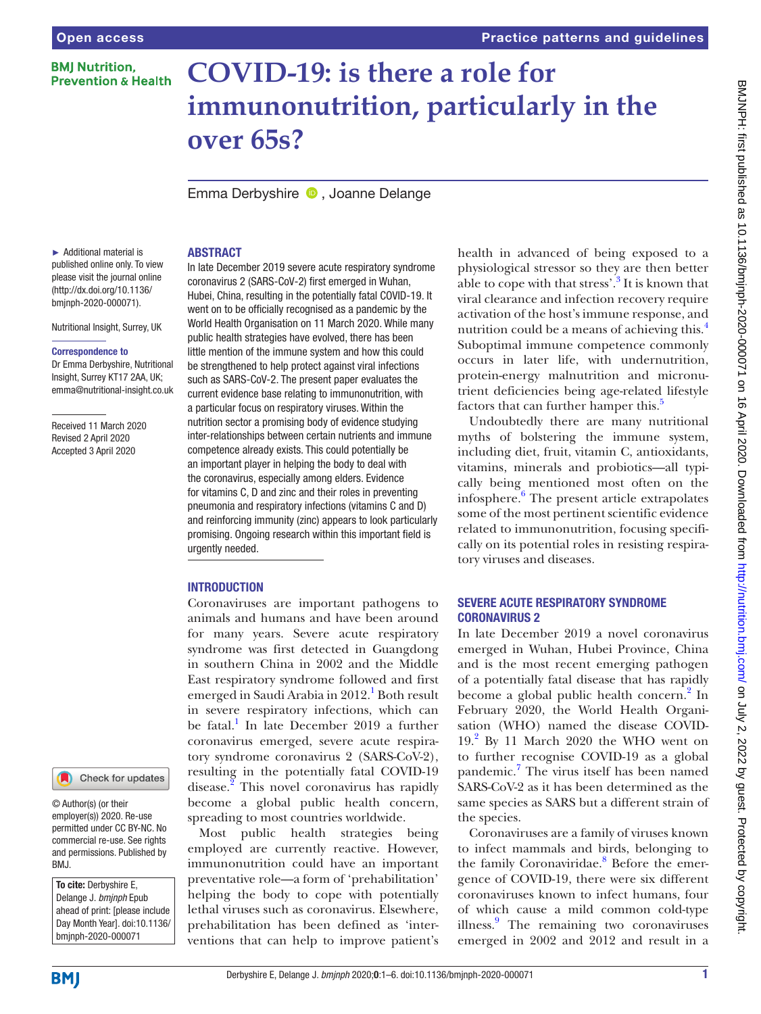# **BMI Nutrition. Prevention & Health**

# **COVID-19: is there a role for immunonutrition, particularly in the over 65s?**

EmmaDerbyshire <sup>1</sup>, Joanne Delange

#### ► Additional material is published online only. To view please visit the journal online (http://dx.doi.org/10.1136/ bmjnph-2020-000071).

Nutritional Insight, Surrey, UK

#### Correspondence to

Dr Emma Derbyshire, Nutritional Insight, Surrey KT17 2AA, UK; emma@nutritional-insight.co.uk

Received 11 March 2020 Revised 2 April 2020 Accepted 3 April 2020

Check for updates

© Author(s) (or their employer(s)) 2020. Re-use permitted under CC BY-NC. No commercial re-use. See rights and permissions. Published by BMJ.

To cite: Derbyshire E, Delange J. *bmjnph* Epub ahead of print: [please include Day Month Year]. doi:10.1136/ bmjnph-2020-000071

# **ABSTRACT**

In late December 2019 severe acute respiratory syndrome coronavirus 2 (SARS-CoV-2) first emerged in Wuhan, Hubei, China, resulting in the potentially fatal COVID-19. It went on to be officially recognised as a pandemic by the World Health Organisation on 11 March 2020. While many public health strategies have evolved, there has been little mention of the immune system and how this could be strengthened to help protect against viral infections such as SARS-CoV-2. The present paper evaluates the current evidence base relating to immunonutrition, with a particular focus on respiratory viruses. Within the nutrition sector a promising body of evidence studying inter-relationships between certain nutrients and immune competence already exists. This could potentially be an important player in helping the body to deal with the coronavirus, especially among elders. Evidence for vitamins C, D and zinc and their roles in preventing pneumonia and respiratory infections (vitamins C and D) and reinforcing immunity (zinc) appears to look particularly promising. Ongoing research within this important field is urgently needed.

# **INTRODUCTION**

Coronaviruses are important pathogens to animals and humans and have been around for many years. Severe acute respiratory syndrome was first detected in Guangdong in southern China in 2002 and the Middle East respiratory syndrome followed and first emerged in Saudi Arabia in 20[1](#page-4-0)2.<sup>1</sup> Both result in severe respiratory infections, which can be fatal.<sup>[1](#page-4-0)</sup> In late December 2019 a further coronavirus emerged, severe acute respiratory syndrome coronavirus 2 (SARS-CoV-2), resulting in the potentially fatal COVID-19 disease. $\frac{1}{2}$  This novel coronavirus has rapidly become a global public health concern, spreading to most countries worldwide.

Most public health strategies being employed are currently reactive. However, immunonutrition could have an important preventative role—a form of 'prehabilitation' helping the body to cope with potentially lethal viruses such as coronavirus. Elsewhere, prehabilitation has been defined as 'interventions that can help to improve patient's

health in advanced of being exposed to a physiological stressor so they are then better able to cope with that stress'. $3$  It is known that viral clearance and infection recovery require activation of the host's immune response, and nutrition could be a means of achieving this.[4](#page-4-3) Suboptimal immune competence commonly occurs in later life, with undernutrition, protein-energy malnutrition and micronutrient deficiencies being age-related lifestyle factors that can further hamper this.<sup>[5](#page-4-4)</sup>

Undoubtedly there are many nutritional myths of bolstering the immune system, including diet, fruit, vitamin C, antioxidants, vitamins, minerals and probiotics—all typically being mentioned most often on the infosphere.<sup>[6](#page-4-5)</sup> The present article extrapolates some of the most pertinent scientific evidence related to immunonutrition, focusing specifically on its potential roles in resisting respiratory viruses and diseases.

# Severe acute respiratory syndrome coronavirus 2

In late December 2019 a novel coronavirus emerged in Wuhan, Hubei Province, China and is the most recent emerging pathogen of a potentially fatal disease that has rapidly become a global public health concern.<sup>[2](#page-4-1)</sup> In February 2020, the World Health Organisation (WHO) named the disease COVID-19[.2](#page-4-1) By 11 March 2020 the WHO went on to further recognise COVID-19 as a global pandemic.<sup>[7](#page-4-6)</sup> The virus itself has been named SARS-CoV-2 as it has been determined as the same species as SARS but a different strain of the species.

Coronaviruses are a family of viruses known to infect mammals and birds, belonging to the family Coronaviridae.<sup>[8](#page-4-7)</sup> Before the emergence of COVID-19, there were six different coronaviruses known to infect humans, four of which cause a mild common cold-type illness.<sup>[9](#page-4-8)</sup> The remaining two coronaviruses emerged in 2002 and 2012 and result in a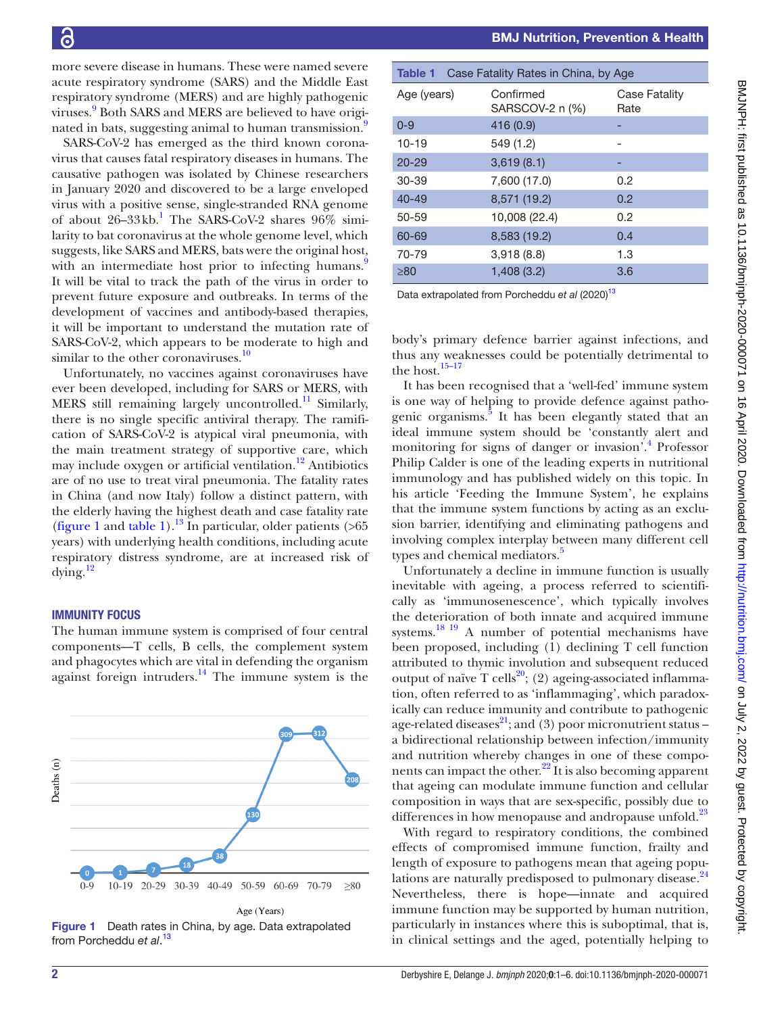more severe disease in humans. These were named severe acute respiratory syndrome (SARS) and the Middle East respiratory syndrome (MERS) and are highly pathogenic viruses.<sup>9</sup> Both SARS and MERS are believed to have origi-nated in bats, suggesting animal to human transmission.<sup>[9](#page-4-8)</sup>

SARS-CoV-2 has emerged as the third known coronavirus that causes fatal respiratory diseases in humans. The causative pathogen was isolated by Chinese researchers in January 2020 and discovered to be a large enveloped virus with a positive sense, single-stranded RNA genome of about 26-33kb.<sup>1</sup> The SARS-CoV-2 shares 96% similarity to bat coronavirus at the whole genome level, which suggests, like SARS and MERS, bats were the original host, with an intermediate host prior to infecting humans.<sup>[9](#page-4-8)</sup> It will be vital to track the path of the virus in order to prevent future exposure and outbreaks. In terms of the development of vaccines and antibody-based therapies, it will be important to understand the mutation rate of SARS-CoV-2, which appears to be moderate to high and similar to the other coronaviruses.<sup>[10](#page-4-10)</sup>

Unfortunately, no vaccines against coronaviruses have ever been developed, including for SARS or MERS, with MERS still remaining largely uncontrolled.<sup>[11](#page-4-11)</sup> Similarly, there is no single specific antiviral therapy. The ramification of SARS-CoV-2 is atypical viral pneumonia, with the main treatment strategy of supportive care, which may include oxygen or artificial ventilation.<sup>12</sup> Antibiotics are of no use to treat viral pneumonia. The fatality rates in China (and now Italy) follow a distinct pattern, with the elderly having the highest death and case fatality rate ([figure](#page-1-0) 1 and [table](#page-1-1) 1).<sup>13</sup> In particular, older patients ( $>65$ years) with underlying health conditions, including acute respiratory distress syndrome, are at increased risk of  $\frac{12}{2}$  $\frac{12}{2}$  $\frac{12}{2}$ 

#### Immunity focus



The human immune system is comprised of four central components—T cells, B cells, the complement system and phagocytes which are vital in defending the organism against foreign intruders.[14](#page-4-13) The immune system is the

<span id="page-1-0"></span>Figure 1 Death rates in China, by age. Data extrapolated from Porcheddu *et al*. [13](#page-4-9)

# BMJ Nutrition, Prevention & Health

<span id="page-1-1"></span>

| Case Fatality Rates in China, by Age<br><b>Table 1</b> |                              |                       |
|--------------------------------------------------------|------------------------------|-----------------------|
| Age (years)                                            | Confirmed<br>SARSCOV-2 n (%) | Case Fatality<br>Rate |
| $0 - 9$                                                | 416 (0.9)                    |                       |
| $10 - 19$                                              | 549 (1.2)                    |                       |
| $20 - 29$                                              | 3,619(8.1)                   |                       |
| $30 - 39$                                              | 7,600 (17.0)                 | $0.2^{\circ}$         |
| $40 - 49$                                              | 8,571 (19.2)                 | 0.2                   |
| 50-59                                                  | 10,008 (22.4)                | $0.2^{\circ}$         |
| 60-69                                                  | 8,583 (19.2)                 | 0.4                   |
| 70-79                                                  | 3,918(8.8)                   | 1.3                   |
| $\geq 80$                                              | 1,408(3.2)                   | 3.6                   |

Data extrapolated from Porcheddu *et al* (2020)<sup>13</sup>

body's primary defence barrier against infections, and thus any weaknesses could be potentially detrimental to the host.<sup>[15–17](#page-4-14)</sup>

It has been recognised that a 'well-fed' immune system is one way of helping to provide defence against pathogenic organisms.<sup>5</sup> It has been elegantly stated that an ideal immune system should be 'constantly alert and monitoring for signs of danger or invasion'.[4](#page-4-3) Professor Philip Calder is one of the leading experts in nutritional immunology and has published widely on this topic. In his article 'Feeding the Immune System', he explains that the immune system functions by acting as an exclusion barrier, identifying and eliminating pathogens and involving complex interplay between many different cell types and chemical mediators.<sup>5</sup>

Unfortunately a decline in immune function is usually inevitable with ageing, a process referred to scientifically as 'immunosenescence', which typically involves the deterioration of both innate and acquired immune systems.<sup>18</sup> <sup>19</sup> A number of potential mechanisms have been proposed, including (1) declining T cell function attributed to thymic involution and subsequent reduced output of naïve T cells<sup>20</sup>; (2) ageing-associated inflammation, often referred to as 'inflammaging', which paradoxically can reduce immunity and contribute to pathogenic age-related diseases $^{21}$ ; and (3) poor micronutrient status – a bidirectional relationship between infection/immunity and nutrition whereby changes in one of these components can impact the other.<sup>22</sup> It is also becoming apparent that ageing can modulate immune function and cellular composition in ways that are sex-specific, possibly due to differences in how menopause and andropause unfold.<sup>23</sup>

With regard to respiratory conditions, the combined effects of compromised immune function, frailty and length of exposure to pathogens mean that ageing populations are naturally predisposed to pulmonary disease. $^{24}$  $^{24}$  $^{24}$ Nevertheless, there is hope—innate and acquired immune function may be supported by human nutrition, particularly in instances where this is suboptimal, that is, in clinical settings and the aged, potentially helping to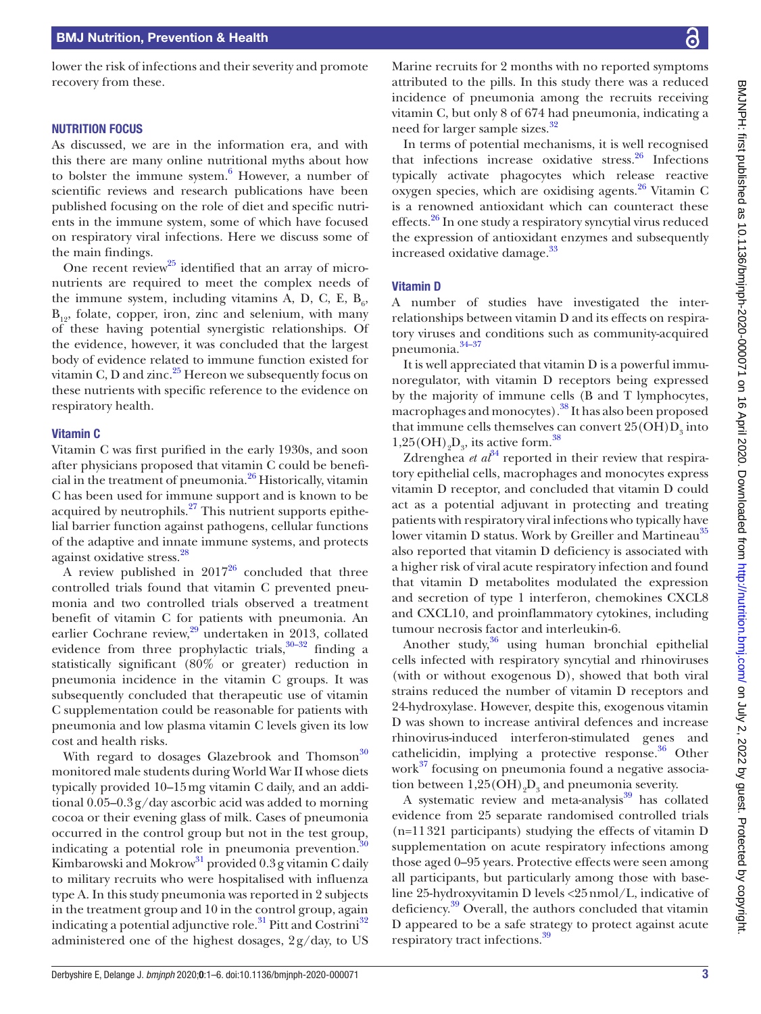lower the risk of infections and their severity and promote recovery from these.

#### **NUTRITION FOCUS**

As discussed, we are in the information era, and with this there are many online nutritional myths about how to bolster the immune system.<sup>[6](#page-4-5)</sup> However, a number of scientific reviews and research publications have been published focusing on the role of diet and specific nutrients in the immune system, some of which have focused on respiratory viral infections. Here we discuss some of the main findings.

One recent review<sup>25</sup> identified that an array of micronutrients are required to meet the complex needs of the immune system, including vitamins A, D, C, E,  $B_6$ ,  $B_{12}$ , folate, copper, iron, zinc and selenium, with many of these having potential synergistic relationships. Of the evidence, however, it was concluded that the largest body of evidence related to immune function existed for vitamin C, D and zinc. $^{25}$  Hereon we subsequently focus on these nutrients with specific reference to the evidence on respiratory health.

#### Vitamin C

Vitamin C was first purified in the early 1930s, and soon after physicians proposed that vitamin C could be beneficial in the treatment of pneumonia.[26](#page-4-22) Historically, vitamin C has been used for immune support and is known to be acquired by neutrophils. $27$  This nutrient supports epithelial barrier function against pathogens, cellular functions of the adaptive and innate immune systems, and protects against oxidative stress[.28](#page-4-24)

A review published in  $2017^{26}$  $2017^{26}$  $2017^{26}$  concluded that three controlled trials found that vitamin C prevented pneumonia and two controlled trials observed a treatment benefit of vitamin C for patients with pneumonia. An earlier Cochrane review,<sup>29</sup> undertaken in 2013, collated evidence from three prophylactic trials,  $30-32$  finding a statistically significant (80% or greater) reduction in pneumonia incidence in the vitamin C groups. It was subsequently concluded that therapeutic use of vitamin C supplementation could be reasonable for patients with pneumonia and low plasma vitamin C levels given its low cost and health risks.

With regard to dosages Glazebrook and Thomson $30$ monitored male students during World War II whose diets typically provided 10–15mg vitamin C daily, and an additional 0.05–0.3g/day ascorbic acid was added to morning cocoa or their evening glass of milk. Cases of pneumonia occurred in the control group but not in the test group, indicating a potential role in pneumonia prevention.<sup>30</sup> Kimbarowski and Mokrow<sup>31</sup> provided 0.3g vitamin C daily to military recruits who were hospitalised with influenza type A. In this study pneumonia was reported in 2 subjects in the treatment group and 10 in the control group, again indicating a potential adjunctive role.<sup>31</sup> Pitt and Costrini<sup>32</sup> administered one of the highest dosages, 2g/day, to US

Marine recruits for 2 months with no reported symptoms attributed to the pills. In this study there was a reduced incidence of pneumonia among the recruits receiving vitamin C, but only 8 of 674 had pneumonia, indicating a need for larger sample sizes.<sup>[32](#page-4-28)</sup>

In terms of potential mechanisms, it is well recognised that infections increase oxidative stress. $26$  Infections typically activate phagocytes which release reactive oxygen species, which are oxidising agents.<sup>26</sup> Vitamin C is a renowned antioxidant which can counteract these effects.[26](#page-4-22) In one study a respiratory syncytial virus reduced the expression of antioxidant enzymes and subsequently increased oxidative damage.<sup>[33](#page-4-29)</sup>

#### Vitamin D

A number of studies have investigated the interrelationships between vitamin D and its effects on respiratory viruses and conditions such as community-acquired pneumonia.[34–37](#page-4-30)

It is well appreciated that vitamin D is a powerful immunoregulator, with vitamin D receptors being expressed by the majority of immune cells (B and T lymphocytes, macrophages and monocytes).[38](#page-5-0) It has also been proposed that immune cells themselves can convert  $25(OH)D_3$  into  $1,25(OH)_{2}D_{3}$ , its active form.<sup>38</sup>

Zdrenghea *et al*<sup>34</sup> reported in their review that respiratory epithelial cells, macrophages and monocytes express vitamin D receptor, and concluded that vitamin D could act as a potential adjuvant in protecting and treating patients with respiratory viral infections who typically have lower vitamin D status. Work by Greiller and Martineau<sup>[35](#page-4-31)</sup> also reported that vitamin D deficiency is associated with a higher risk of viral acute respiratory infection and found that vitamin D metabolites modulated the expression and secretion of type 1 interferon, chemokines CXCL8 and CXCL10, and proinflammatory cytokines, including tumour necrosis factor and interleukin-6.

Another study, $36$  using human bronchial epithelial cells infected with respiratory syncytial and rhinoviruses (with or without exogenous D), showed that both viral strains reduced the number of vitamin D receptors and 24-hydroxylase. However, despite this, exogenous vitamin D was shown to increase antiviral defences and increase rhinovirus-induced interferon-stimulated genes and cathelicidin, implying a protective response. $36$  Other  $work<sup>37</sup>$  focusing on pneumonia found a negative association between  $1,25(OH)_{2}D_{3}$  and pneumonia severity.

A systematic review and meta-analysis $39$  has collated evidence from 25 separate randomised controlled trials (n=11321 participants) studying the effects of vitamin D supplementation on acute respiratory infections among those aged 0–95 years. Protective effects were seen among all participants, but particularly among those with baseline 25-hydroxyvitamin D levels <25nmol/L, indicative of deficiency. [39](#page-5-3) Overall, the authors concluded that vitamin D appeared to be a safe strategy to protect against acute respiratory tract infections.<sup>39</sup>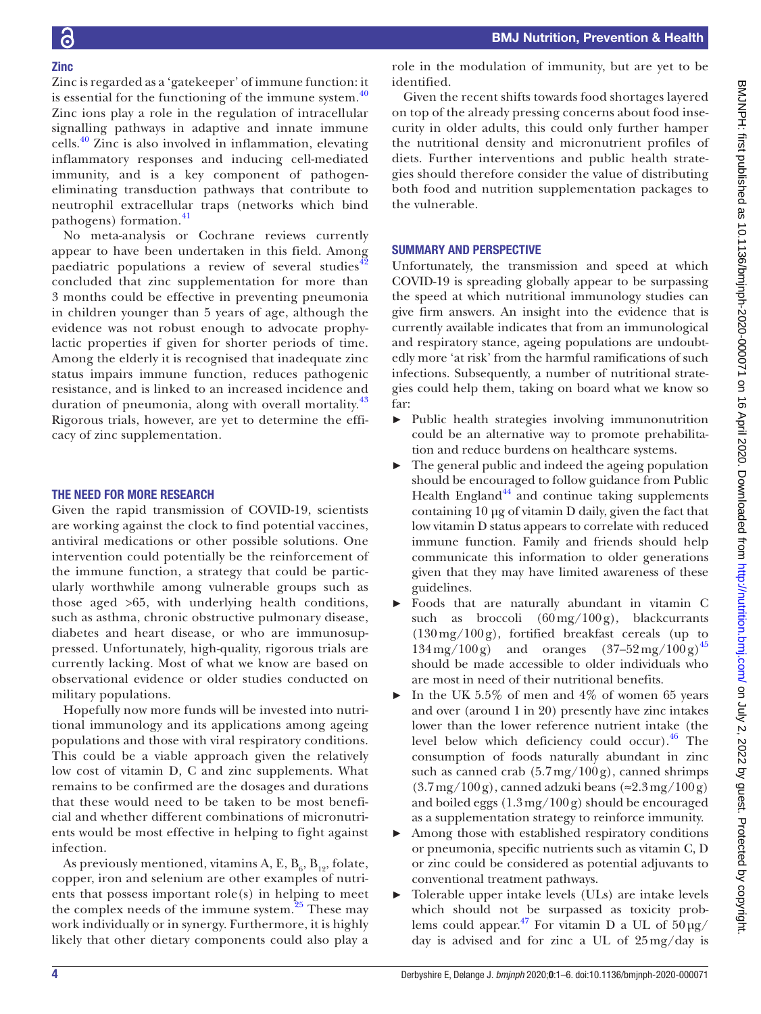# $\overline{G}$ Zinc

Zinc is regarded as a 'gatekeeper' of immune function: it is essential for the functioning of the immune system. $40$ Zinc ions play a role in the regulation of intracellular signalling pathways in adaptive and innate immune cells.[40](#page-5-4) Zinc is also involved in inflammation, elevating inflammatory responses and inducing cell-mediated immunity, and is a key component of pathogeneliminating transduction pathways that contribute to neutrophil extracellular traps (networks which bind pathogens) formation.<sup>[41](#page-5-5)</sup>

No meta-analysis or Cochrane reviews currently appear to have been undertaken in this field. Among paediatric populations a review of several studies $42$ concluded that zinc supplementation for more than 3 months could be effective in preventing pneumonia in children younger than 5 years of age, although the evidence was not robust enough to advocate prophylactic properties if given for shorter periods of time. Among the elderly it is recognised that inadequate zinc status impairs immune function, reduces pathogenic resistance, and is linked to an increased incidence and duration of pneumonia, along with overall mortality.<sup>[43](#page-5-7)</sup> Rigorous trials, however, are yet to determine the efficacy of zinc supplementation.

# The need for more research

Given the rapid transmission of COVID-19, scientists are working against the clock to find potential vaccines, antiviral medications or other possible solutions. One intervention could potentially be the reinforcement of the immune function, a strategy that could be particularly worthwhile among vulnerable groups such as those aged >65, with underlying health conditions, such as asthma, chronic obstructive pulmonary disease, diabetes and heart disease, or who are immunosuppressed. Unfortunately, high-quality, rigorous trials are currently lacking. Most of what we know are based on observational evidence or older studies conducted on military populations.

Hopefully now more funds will be invested into nutritional immunology and its applications among ageing populations and those with viral respiratory conditions. This could be a viable approach given the relatively low cost of vitamin D, C and zinc supplements. What remains to be confirmed are the dosages and durations that these would need to be taken to be most beneficial and whether different combinations of micronutrients would be most effective in helping to fight against infection.

As previously mentioned, vitamins A, E,  $B_6$ ,  $B_{12}$ , folate, copper, iron and selenium are other examples of nutrients that possess important  $role(s)$  in helping to meet the complex needs of the immune system. $25$  These may work individually or in synergy. Furthermore, it is highly likely that other dietary components could also play a

role in the modulation of immunity, but are yet to be identified.

Given the recent shifts towards food shortages layered on top of the already pressing concerns about food insecurity in older adults, this could only further hamper the nutritional density and micronutrient profiles of diets. Further interventions and public health strategies should therefore consider the value of distributing both food and nutrition supplementation packages to the vulnerable.

# Summary and perspective

Unfortunately, the transmission and speed at which COVID-19 is spreading globally appear to be surpassing the speed at which nutritional immunology studies can give firm answers. An insight into the evidence that is currently available indicates that from an immunological and respiratory stance, ageing populations are undoubtedly more 'at risk' from the harmful ramifications of such infections. Subsequently, a number of nutritional strategies could help them, taking on board what we know so far:

- ► Public health strategies involving immunonutrition could be an alternative way to promote prehabilitation and reduce burdens on healthcare systems.
- $\blacktriangleright$  The general public and indeed the ageing population should be encouraged to follow guidance from Public Health England<sup>44</sup> and continue taking supplements containing 10 μg of vitamin D daily, given the fact that low vitamin D status appears to correlate with reduced immune function. Family and friends should help communicate this information to older generations given that they may have limited awareness of these guidelines.
- ► Foods that are naturally abundant in vitamin C such as broccoli  $(60 \,\text{mg}/100 \,\text{g})$ , blackcurrants (130mg/100g), fortified breakfast cereals (up to  $134 \,\text{mg}/100 \,\text{g}$  and oranges  $(37-52 \,\text{mg}/100 \,\text{g})^{45}$  $(37-52 \,\text{mg}/100 \,\text{g})^{45}$  $(37-52 \,\text{mg}/100 \,\text{g})^{45}$ should be made accessible to older individuals who are most in need of their nutritional benefits.
- $\blacktriangleright$  In the UK 5.5% of men and 4% of women 65 years and over (around 1 in 20) presently have zinc intakes lower than the lower reference nutrient intake (the level below which deficiency could occur)[.46](#page-5-10) The consumption of foods naturally abundant in zinc such as canned crab  $(5.7 \text{ mg}/100 \text{ g})$ , canned shrimps  $(3.7 \text{ mg}/100 \text{ g})$ , canned adzuki beans (≈2.3 mg/100 g) and boiled eggs (1.3mg/100g) should be encouraged as a supplementation strategy to reinforce immunity.
- ► Among those with established respiratory conditions or pneumonia, specific nutrients such as vitamin C, D or zinc could be considered as potential adjuvants to conventional treatment pathways.
- ► Tolerable upper intake levels (ULs) are intake levels which should not be surpassed as toxicity prob-lems could appear.<sup>[47](#page-5-11)</sup> For vitamin D a UL of  $50\,\text{µg}$ / day is advised and for zinc a UL of 25mg/day is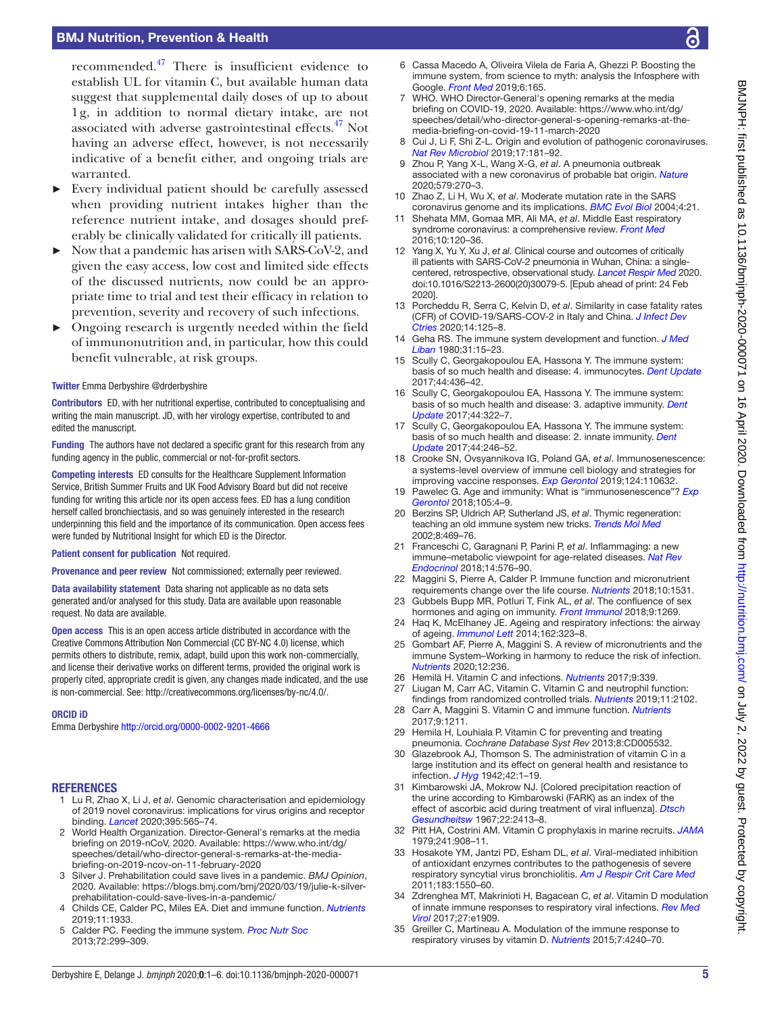# BMJ Nutrition, Prevention & Health

recommended.[47](#page-5-11) There is insufficient evidence to establish UL for vitamin C, but available human data suggest that supplemental daily doses of up to about 1g, in addition to normal dietary intake, are not associated with adverse gastrointestinal effects.<sup>[47](#page-5-11)</sup> Not having an adverse effect, however, is not necessarily indicative of a benefit either, and ongoing trials are warranted.

- ► Every individual patient should be carefully assessed when providing nutrient intakes higher than the reference nutrient intake, and dosages should preferably be clinically validated for critically ill patients.
- ► Now that a pandemic has arisen with SARS-CoV-2, and given the easy access, low cost and limited side effects of the discussed nutrients, now could be an appropriate time to trial and test their efficacy in relation to prevention, severity and recovery of such infections.
- ► Ongoing research is urgently needed within the field of immunonutrition and, in particular, how this could benefit vulnerable, at risk groups.

#### Twitter Emma Derbyshire [@drderbyshire](https://twitter.com/drderbyshire)

Contributors ED, with her nutritional expertise, contributed to conceptualising and writing the main manuscript. JD, with her virology expertise, contributed to and edited the manuscript.

Funding The authors have not declared a specific grant for this research from any funding agency in the public, commercial or not-for-profit sectors.

Competing interests ED consults for the Healthcare Supplement Information Service, British Summer Fruits and UK Food Advisory Board but did not receive funding for writing this article nor its open access fees. ED has a lung condition herself called bronchiectasis, and so was genuinely interested in the research underpinning this field and the importance of its communication. Open access fees were funded by Nutritional Insight for which ED is the Director.

Patient consent for publication Not required.

Provenance and peer review Not commissioned; externally peer reviewed.

Data availability statement Data sharing not applicable as no data sets generated and/or analysed for this study. Data are available upon reasonable request. No data are available.

Open access This is an open access article distributed in accordance with the Creative Commons Attribution Non Commercial (CC BY-NC 4.0) license, which permits others to distribute, remix, adapt, build upon this work non-commercially, and license their derivative works on different terms, provided the original work is properly cited, appropriate credit is given, any changes made indicated, and the use is non-commercial. See: [http://creativecommons.org/licenses/by-nc/4.0/.](http://creativecommons.org/licenses/by-nc/4.0/)

#### ORCID iD

Emma Derbyshire <http://orcid.org/0000-0002-9201-4666>

# **REFERENCES**

- <span id="page-4-0"></span>1 Lu R, Zhao X, Li J, *et al*. Genomic characterisation and epidemiology of 2019 novel coronavirus: implications for virus origins and receptor binding. *[Lancet](http://dx.doi.org/10.1016/S0140-6736(20)30251-8)* 2020;395:565–74.
- <span id="page-4-1"></span>2 World Health Organization. Director-General's remarks at the media briefing on 2019-nCoV, 2020. Available: [https://www.who.int/dg/](https://www.who.int/dg/speeches/detail/who-director-general-s-remarks-at-the-media-briefing-on-2019-ncov-on-11-february-2020) [speeches/detail/who-director-general-s-remarks-at-the-media](https://www.who.int/dg/speeches/detail/who-director-general-s-remarks-at-the-media-briefing-on-2019-ncov-on-11-february-2020)[briefing-on-2019-ncov-on-11-february-2020](https://www.who.int/dg/speeches/detail/who-director-general-s-remarks-at-the-media-briefing-on-2019-ncov-on-11-february-2020)
- <span id="page-4-2"></span>3 Silver J. Prehabilitation could save lives in a pandemic. *BMJ Opinion*, 2020. Available: [https://blogs.bmj.com/bmj/2020/03/19/julie-k-silver](https://blogs.bmj.com/bmj/2020/03/19/julie-k-silver-prehabilitation-could-save-lives-in-a-pandemic/)[prehabilitation-could-save-lives-in-a-pandemic/](https://blogs.bmj.com/bmj/2020/03/19/julie-k-silver-prehabilitation-could-save-lives-in-a-pandemic/)
- <span id="page-4-3"></span>4 Childs CE, Calder PC, Miles EA. Diet and immune function. *[Nutrients](http://dx.doi.org/10.3390/nu11081933)* 2019;11:1933.
- <span id="page-4-4"></span>5 Calder PC. Feeding the immune system. *[Proc Nutr Soc](http://dx.doi.org/10.1017/S0029665113001286)* 2013;72:299–309.
- <span id="page-4-5"></span>6 Cassa Macedo A, Oliveira Vilela de Faria A, Ghezzi P. Boosting the immune system, from science to myth: analysis the Infosphere with Google. *[Front Med](http://dx.doi.org/10.3389/fmed.2019.00165)* 2019;6:165.
- <span id="page-4-6"></span>WHO. WHO Director-General's opening remarks at the media briefing on COVID-19, 2020. Available: [https://www.who.int/dg/](https://www.who.int/dg/speeches/detail/who-director-general-s-opening-remarks-at-the-media-briefing-on-covid-19-11-march-2020) [speeches/detail/who-director-general-s-opening-remarks-at-the](https://www.who.int/dg/speeches/detail/who-director-general-s-opening-remarks-at-the-media-briefing-on-covid-19-11-march-2020)[media-briefing-on-covid-19-11-march-2020](https://www.who.int/dg/speeches/detail/who-director-general-s-opening-remarks-at-the-media-briefing-on-covid-19-11-march-2020)
- <span id="page-4-7"></span>Cui J, Li F, Shi Z-L. Origin and evolution of pathogenic coronaviruses. *[Nat Rev Microbiol](http://dx.doi.org/10.1038/s41579-018-0118-9)* 2019;17:181–92.
- <span id="page-4-8"></span>9 Zhou P, Yang X-L, Wang X-G, *et al*. A pneumonia outbreak associated with a new coronavirus of probable bat origin. *[Nature](http://dx.doi.org/10.1038/s41586-020-2012-7)* 2020;579:270–3.
- <span id="page-4-10"></span>10 Zhao Z, Li H, Wu X, *et al*. Moderate mutation rate in the SARS coronavirus genome and its implications. *[BMC Evol Biol](http://dx.doi.org/10.1186/1471-2148-4-21)* 2004;4:21.
- <span id="page-4-11"></span>11 Shehata MM, Gomaa MR, Ali MA, *et al*. Middle East respiratory syndrome coronavirus: a comprehensive review. *[Front Med](http://dx.doi.org/10.1007/s11684-016-0430-6)* 2016;10:120–36.
- <span id="page-4-12"></span>12 Yang X, Yu Y, Xu J, *et al*. Clinical course and outcomes of critically ill patients with SARS-CoV-2 pneumonia in Wuhan, China: a singlecentered, retrospective, observational study. *[Lancet Respir Med](http://dx.doi.org/10.1016/S2213-2600(20)30079-5)* 2020. doi:10.1016/S2213-2600(20)30079-5. [Epub ahead of print: 24 Feb 2020].
- <span id="page-4-9"></span>13 Porcheddu R, Serra C, Kelvin D, *et al*. Similarity in case fatality rates (CFR) of COVID-19/SARS-COV-2 in Italy and China. *[J Infect Dev](http://dx.doi.org/10.3855/jidc.12600)  [Ctries](http://dx.doi.org/10.3855/jidc.12600)* 2020;14:125–8.
- <span id="page-4-13"></span>14 Geha RS. The immune system development and function. *[J Med](http://www.ncbi.nlm.nih.gov/pubmed/http://www.ncbi.nlm.nih.gov/pubmed/16295324)  [Liban](http://www.ncbi.nlm.nih.gov/pubmed/http://www.ncbi.nlm.nih.gov/pubmed/16295324)* 1980;31:15–23.
- <span id="page-4-14"></span>15 Scully C, Georgakopoulou EA, Hassona Y. The immune system: basis of so much health and disease: 4. immunocytes. *[Dent Update](http://dx.doi.org/10.12968/denu.2017.44.5.436)* 2017;44:436–42.
- 16 Scully C, Georgakopoulou EA, Hassona Y. The immune system: basis of so much health and disease: 3. adaptive immunity. *[Dent](http://dx.doi.org/10.12968/denu.2017.44.4.322)  [Update](http://dx.doi.org/10.12968/denu.2017.44.4.322)* 2017;44:322–7.
- 17 Scully C, Georgakopoulou EA, Hassona Y. The immune system: basis of so much health and disease: 2. innate immunity. *[Dent](http://dx.doi.org/10.12968/denu.2017.44.3.246)  [Update](http://dx.doi.org/10.12968/denu.2017.44.3.246)* 2017;44:246–52.
- <span id="page-4-15"></span>18 Crooke SN, Ovsyannikova IG, Poland GA, *et al*. Immunosenescence: a systems-level overview of immune cell biology and strategies for improving vaccine responses. *[Exp Gerontol](http://dx.doi.org/10.1016/j.exger.2019.110632)* 2019;124:110632.
- 19 Pawelec G. Age and immunity: What is "immunosenescence"? *[Exp](http://dx.doi.org/10.1016/j.exger.2017.10.024)  [Gerontol](http://dx.doi.org/10.1016/j.exger.2017.10.024)* 2018;105:4–9.
- <span id="page-4-16"></span>20 Berzins SP, Uldrich AP, Sutherland JS, *et al*. Thymic regeneration: teaching an old immune system new tricks. *[Trends Mol Med](http://dx.doi.org/10.1016/S1471-4914(02)02415-2)* 2002;8:469–76.
- <span id="page-4-17"></span>21 Franceschi C, Garagnani P, Parini P, *et al*. Inflammaging: a new immune–metabolic viewpoint for age-related diseases. *[Nat Rev](http://dx.doi.org/10.1038/s41574-018-0059-4)  [Endocrinol](http://dx.doi.org/10.1038/s41574-018-0059-4)* 2018;14:576–90.
- <span id="page-4-18"></span>22 Maggini S, Pierre A, Calder P. Immune function and micronutrient requirements change over the life course. *[Nutrients](http://dx.doi.org/10.3390/nu10101531)* 2018;10:1531.
- <span id="page-4-19"></span>23 Gubbels Bupp MR, Potluri T, Fink AL, *et al*. The confluence of sex hormones and aging on immunity. *[Front Immunol](http://dx.doi.org/10.3389/fimmu.2018.01269)* 2018;9:1269.
- <span id="page-4-20"></span>24 Haq K, McElhaney JE. Ageing and respiratory infections: the airway of ageing. *[Immunol Lett](http://dx.doi.org/10.1016/j.imlet.2014.06.009)* 2014;162:323–8.
- <span id="page-4-21"></span>25 Gombart AF, Pierre A, Maggini S. A review of micronutrients and the immune System–Working in harmony to reduce the risk of infection. *[Nutrients](http://dx.doi.org/10.3390/nu12010236)* 2020;12:236.
- <span id="page-4-22"></span>26 Hemilä H. Vitamin C and infections. *[Nutrients](http://dx.doi.org/10.3390/nu9040339)* 2017;9:339.
- <span id="page-4-23"></span>27 Liugan M, Carr AC, Vitamin C. Vitamin C and neutrophil function:
- <span id="page-4-24"></span>findings from randomized controlled trials. *[Nutrients](http://dx.doi.org/10.3390/nu11092102)* 2019;11:2102. 28 Carr A, Maggini S. Vitamin C and immune function. *[Nutrients](http://dx.doi.org/10.3390/nu9111211)*
- <span id="page-4-25"></span>2017;9:1211. 29 Hemila H, Louhiala P. Vitamin C for preventing and treating
- <span id="page-4-26"></span>pneumonia. *Cochrane Database Syst Rev* 2013;8:CD005532. 30 Glazebrook AJ, Thomson S. The administration of vitamin C in a large institution and its effect on general health and resistance to
- <span id="page-4-27"></span>infection. *[J Hyg](http://dx.doi.org/10.1017/S0022172400012596)* 1942;42:1–19. 31 Kimbarowski JA, Mokrow NJ. [Colored precipitation reaction of the urine according to Kimbarowski (FARK) as an index of the effect of ascorbic acid during treatment of viral influenza]. *[Dtsch](http://www.ncbi.nlm.nih.gov/pubmed/http://www.ncbi.nlm.nih.gov/pubmed/5614915)  [Gesundheitsw](http://www.ncbi.nlm.nih.gov/pubmed/http://www.ncbi.nlm.nih.gov/pubmed/5614915)* 1967;22:2413–8.
- <span id="page-4-28"></span>32 Pitt HA, Costrini AM. Vitamin C prophylaxis in marine recruits. *[JAMA](http://dx.doi.org/10.1001/jama.1979.03290350028016)* 1979;241:908–11.
- <span id="page-4-29"></span>33 Hosakote YM, Jantzi PD, Esham DL, *et al*. Viral-mediated inhibition of antioxidant enzymes contributes to the pathogenesis of severe respiratory syncytial virus bronchiolitis. *[Am J Respir Crit Care Med](http://dx.doi.org/10.1164/rccm.201010-1755OC)* 2011;183:1550–60.
- <span id="page-4-30"></span>34 Zdrenghea MT, Makrinioti H, Bagacean C, *et al*. Vitamin D modulation of innate immune responses to respiratory viral infections. *[Rev Med](http://dx.doi.org/10.1002/rmv.1909)  [Virol](http://dx.doi.org/10.1002/rmv.1909)* 2017;27:e1909.
- <span id="page-4-31"></span>35 Greiller C, Martineau A. Modulation of the immune response to respiratory viruses by vitamin D. *[Nutrients](http://dx.doi.org/10.3390/nu7064240)* 2015;7:4240–70.